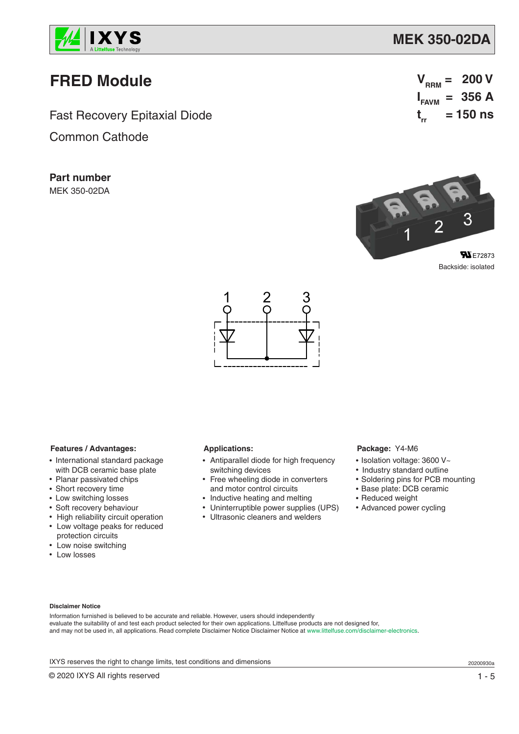

### **MEK 350-02DA**

# **FRED Module**

Fast Recovery Epitaxial Diode

Common Cathode

**Part number** MEK 350-02DA

 $V_{RRM} = 200 V$ **I FAVM = 356 A t rr = 150 ns**



Backside: isolated



#### **Features / Advantages:**

- International standard package with DCB ceramic base plate
- Planar passivated chips
- Short recovery time
- Low switching losses
- Soft recovery behaviour
- High reliability circuit operation • Low voltage peaks for reduced protection circuits
- Low noise switching
- Low losses

### **Applications:**

- Antiparallel diode for high frequency switching devices
- Free wheeling diode in converters and motor control circuits
- Inductive heating and melting
- Uninterruptible power supplies (UPS)
- Ultrasonic cleaners and welders

#### **Package:** Y4-M6

- Isolation voltage: 3600 V~
- Industry standard outline
- Soldering pins for PCB mounting
- Base plate: DCB ceramic
- Reduced weight
- Advanced power cycling

#### **Disclaimer Notice**

Information furnished is believed to be accurate and reliable. However, users should independently evaluate the suitability of and test each product selected for their own applications. Littelfuse products are not designed for, and may not be used in, all applications. Read complete Disclaimer Notice Disclaimer Notice at www.littelfuse.com/disclaimer-electronics.

IXYS reserves the right to change limits, test conditions and dimensions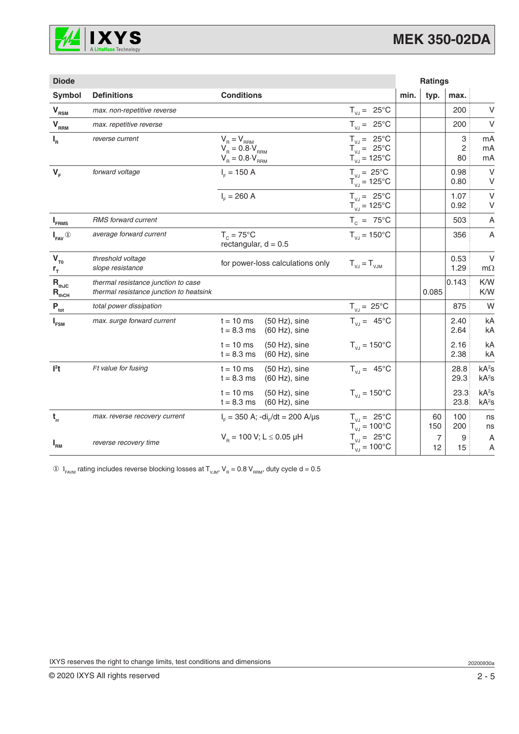

| <b>Diode</b>                             |                                                                                |                                                                                                                                                                                        |                                                                                                    |      | <b>Ratings</b> |                           |                                        |
|------------------------------------------|--------------------------------------------------------------------------------|----------------------------------------------------------------------------------------------------------------------------------------------------------------------------------------|----------------------------------------------------------------------------------------------------|------|----------------|---------------------------|----------------------------------------|
| Symbol                                   | <b>Definitions</b>                                                             | <b>Conditions</b>                                                                                                                                                                      |                                                                                                    | min. | typ.           | max.                      |                                        |
| $V_{RSM}$                                | max. non-repetitive reverse                                                    |                                                                                                                                                                                        | $T_{V,J} = 25^{\circ}C$                                                                            |      |                | 200                       | V                                      |
| $V_{RRM}$                                | max. repetitive reverse                                                        |                                                                                                                                                                                        | $T_{V,J} = 25^{\circ}C$                                                                            |      |                | 200                       | $\vee$                                 |
| $I_R$                                    | reverse current                                                                | $\begin{array}{l} \mathsf{V}_{_{\mathrm{R}}}=\mathsf{V}_{_{\mathrm{RRM}}} \\ \mathsf{V}_{_{\mathrm{R}}}=0.8\cdot\mathsf{V}_{_{\mathrm{RRM}}} \end{array}$<br>$V_R = 0.8 \cdot V_{RRM}$ | $T_{V,J} = 25^{\circ}C$<br>$T_{\text{VJ}} = 25^{\circ} \text{C}$<br>$T_{\text{VJ}} = 125^{\circ}C$ |      |                | 3<br>$\overline{c}$<br>80 | mA<br>mA<br>mA                         |
| $V_F$                                    | forward voltage                                                                | $I_{E} = 150 A$                                                                                                                                                                        | $T_{V,I} = 25^{\circ}C$<br>$T_{\text{VJ}} = 125^{\circ}$ C                                         |      |                | 0.98<br>0.80              | $\vee$<br>V                            |
|                                          |                                                                                | $I_c = 260 A$                                                                                                                                                                          | $T_{V,I} = 25^{\circ}C$<br>$T_{VJ} = 125^{\circ}C$                                                 |      |                | 1.07<br>0.92              | $\vee$<br>V                            |
| $I_{\texttt{FRMS}}$                      | RMS forward current                                                            |                                                                                                                                                                                        | $T_c = 75^{\circ}C$                                                                                |      |                | 503                       | A                                      |
| $I_{\text{FAV}}$ <sup>①</sup>            | average forward current                                                        | $T_c = 75^{\circ}$ C<br>rectangular, $d = 0.5$                                                                                                                                         | $T_{V,I} = 150^{\circ}C$                                                                           |      |                | 356                       | A                                      |
| $V_{T0}$<br>$r_{\rm T}$                  | threshold voltage<br>slope resistance                                          | for power-loss calculations only                                                                                                                                                       | $T_{V,I} = T_{VJM}$                                                                                |      |                | 0.53<br>1.29              | $\vee$<br>$m\Omega$                    |
| $R_{thJC}$<br>$\mathbf{R}_{\text{thCH}}$ | thermal resistance junction to case<br>thermal resistance junction to heatsink |                                                                                                                                                                                        |                                                                                                    |      | 0.085          | 0.143                     | K/W<br>K/W                             |
| $P_{\rm tot}$                            | total power dissipation                                                        |                                                                                                                                                                                        | $T_{V,J} = 25^{\circ}C$                                                                            |      |                | 875                       | W                                      |
| $I_{FSM}$                                | max. surge forward current                                                     | $t = 10$ ms<br>$(50 Hz)$ , sine<br>$t = 8.3$ ms<br>$(60 Hz)$ , sine                                                                                                                    | $T_{V,I} = 45^{\circ}C$                                                                            |      |                | 2.40<br>2.64              | kA<br>kA                               |
|                                          |                                                                                | $t = 10$ ms<br>$(50 Hz)$ , sine<br>$t = 8.3$ ms<br>$(60 Hz)$ , sine                                                                                                                    | $T_{V,I} = 150^{\circ}C$                                                                           |      |                | 2.16<br>2.38              | kA<br>kA                               |
| $l2$ t                                   | $Pt$ value for fusing                                                          | $t = 10$ ms<br>$(50 Hz)$ , sine<br>$t = 8.3$ ms<br>$(60 Hz)$ , sine                                                                                                                    | $T_{V,J} = 45^{\circ}C$                                                                            |      |                | 28.8<br>29.3              | kA <sup>2</sup> S<br>kA <sup>2</sup> S |
|                                          |                                                                                | $t = 10$ ms<br>$(50 Hz)$ , sine<br>$t = 8.3$ ms<br>$(60 Hz)$ , sine                                                                                                                    | $T_{VJ} = 150^{\circ}C$                                                                            |      |                | 23.3<br>23.8              | kA <sup>2</sup> S<br>kA <sup>2</sup> S |
| $\mathbf{t}_{\rm rr}$                    | max. reverse recovery current                                                  | $I_{F} = 350$ A; -di <sub>r</sub> /dt = 200 A/µs                                                                                                                                       | $T_{V,J} = 25^{\circ}C$<br>$T_{V,I} = 100^{\circ}C$                                                |      | 60<br>150      | 100<br>200                | ns<br>ns                               |
| $I_{\rm RM}$                             | reverse recovery time                                                          | $V_B$ = 100 V; L $\leq$ 0.05 µH                                                                                                                                                        | $T_{V,J} = 25^{\circ}C$<br>$T_{VJ} = 100^{\circ}C$                                                 |      | 7<br>12        | 9<br>15                   | A<br>A                                 |

 $\circledA$   $\mathsf{I}_{\mathsf{FAVM}}$  rating includes reverse blocking losses at  $\mathsf{T}_{\mathsf{VJM}}, \mathsf{V}_{\mathsf{R}} = 0.8 \mathsf{V}_{\mathsf{RRM}},$  duty cycle d = 0.5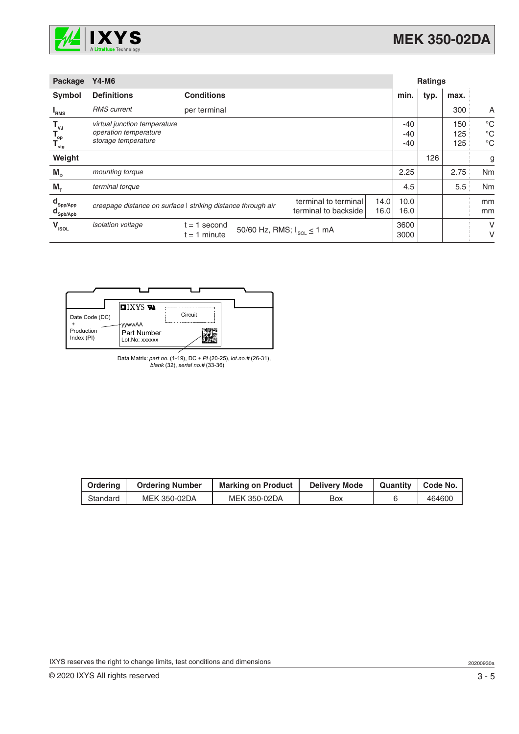

| Package                                                            | <b>Y4-M6</b>                                                                 |                                                              |                                              | <b>Ratings</b> |                     |      |                   |                                           |
|--------------------------------------------------------------------|------------------------------------------------------------------------------|--------------------------------------------------------------|----------------------------------------------|----------------|---------------------|------|-------------------|-------------------------------------------|
| Symbol                                                             | <b>Definitions</b>                                                           | <b>Conditions</b>                                            |                                              |                | min.                | typ. | max.              |                                           |
| <b>I</b> <sub>RMS</sub>                                            | <b>RMS</b> current                                                           | per terminal                                                 |                                              |                |                     |      | 300               | A                                         |
| $\mathsf{T}_{\mathsf{vJ}}$<br>$T_{op}$<br>$T_{\text{stg}}$         | virtual junction temperature<br>operation temperature<br>storage temperature |                                                              |                                              |                | $-40$<br>-40<br>-40 |      | 150<br>125<br>125 | $^{\circ}C$<br>$^{\circ}C$<br>$^{\circ}C$ |
| Weight                                                             |                                                                              |                                                              |                                              |                |                     | 126  |                   | g                                         |
| $M_{\text{D}}$                                                     | mounting torque                                                              |                                                              |                                              |                | 2.25                |      | 2.75              | Nm                                        |
| $M_{\tau}$                                                         | terminal torque                                                              |                                                              |                                              |                | 4.5                 |      | 5.5               | Nm                                        |
| $\mathbf{d}_{\mathsf{Spp/App}}$<br>$\mathbf{d}_{\mathsf{Spb/Apb}}$ |                                                                              | creepage distance on surface   striking distance through air | terminal to terminal<br>terminal to backside | 14.0<br>16.0   | 10.0<br>16.0        |      |                   | mm<br>mm                                  |
| $V_{ISOL}$                                                         | <i>isolation</i> voltage                                                     | 1 second<br>$t =$<br>$t = 1$ minute                          | 50/60 Hz, RMS; $I_{ISOL} \le 1$ mA           |                | 3600<br>3000        |      |                   | V<br>V                                    |



Data Matrix: *part no.* (1-19), DC + *PI* (20-25), *lot.no.#* (26-31), *blank* (32), *serial no.#* (33-36)

| Ordering | <b>Ordering Number</b> | <b>Marking on Product</b> | <b>Delivery Mode</b> | Quantity   Code No. |
|----------|------------------------|---------------------------|----------------------|---------------------|
| Standard | MEK 350-02DA           | <b>MEK 350-02DA</b>       | Box                  | 464600              |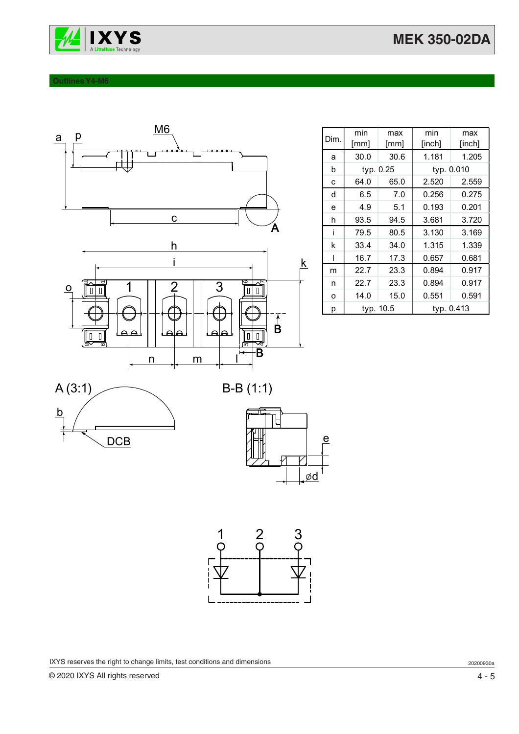

#### **Outlines Y4-M6**



| Dim. | min       | max       | min        | max    |  |
|------|-----------|-----------|------------|--------|--|
|      | [mm]      | [mm]      | [inch]     | [inch] |  |
| a    | 30.0      | 30.6      | 1.181      | 1.205  |  |
| b    |           | typ. 0.25 | typ. 0.010 |        |  |
| C    | 64.0      | 65.0      | 2.520      | 2.559  |  |
| d    | 6.5       | 7.0       | 0.256      | 0.275  |  |
| e    | 4.9       | 5.1       | 0.193      | 0.201  |  |
| h    | 93.5      | 94.5      | 3.681      | 3.720  |  |
| i    | 79.5      | 80.5      | 3.130      | 3.169  |  |
| k    | 33.4      | 34.0      | 1.315      | 1.339  |  |
| ı    | 16.7      | 17.3      | 0.657      | 0.681  |  |
| m    | 22.7      | 23.3      | 0.894      | 0.917  |  |
| n    | 22.7      | 23.3      | 0.894      | 0.917  |  |
| o    | 14.0      | 15.0      | 0.551      | 0.591  |  |
| p    | typ. 10.5 |           | typ. 0.413 |        |  |









IXYS reserves the right to change limits, test conditions and dimensions